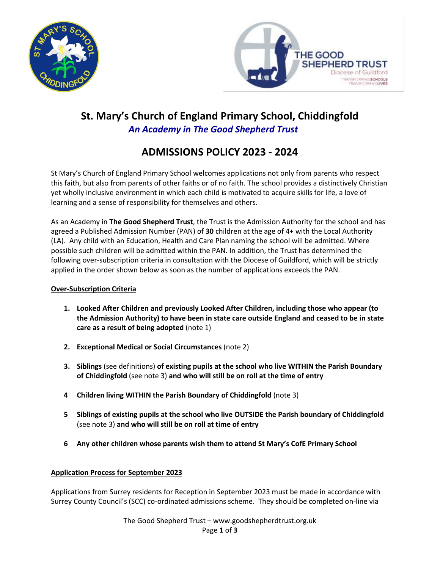



# **St. Mary's Church of England Primary School, Chiddingfold** *An Academy in The Good Shepherd Trust*

## **ADMISSIONS POLICY 2023 - 2024**

St Mary's Church of England Primary School welcomes applications not only from parents who respect this faith, but also from parents of other faiths or of no faith. The school provides a distinctively Christian yet wholly inclusive environment in which each child is motivated to acquire skills for life, a love of learning and a sense of responsibility for themselves and others.

As an Academy in **The Good Shepherd Trust**, the Trust is the Admission Authority for the school and has agreed a Published Admission Number (PAN) of **30** children at the age of 4+ with the Local Authority (LA). Any child with an Education, Health and Care Plan naming the school will be admitted. Where possible such children will be admitted within the PAN. In addition, the Trust has determined the following over-subscription criteria in consultation with the Diocese of Guildford, which will be strictly applied in the order shown below as soon as the number of applications exceeds the PAN.

## **Over-Subscription Criteria**

- **1. Looked After Children and previously Looked After Children, including those who appear (to the Admission Authority) to have been in state care outside England and ceased to be in state care as a result of being adopted** (note 1)
- **2. Exceptional Medical or Social Circumstances** (note 2)
- **3. Siblings** (see definitions) **of existing pupils at the school who live WITHIN the Parish Boundary of Chiddingfold** (see note 3) **and who will still be on roll at the time of entry**
- **4 Children living WITHIN the Parish Boundary of Chiddingfold** (note 3)
- **5 Siblings of existing pupils at the school who live OUTSIDE the Parish boundary of Chiddingfold**  (see note 3) **and who will still be on roll at time of entry**
- **6 Any other children whose parents wish them to attend St Mary's CofE Primary School**

## **Application Process for September 2023**

Applications from Surrey residents for Reception in September 2023 must be made in accordance with Surrey County Council's (SCC) co-ordinated admissions scheme. They should be completed on-line via

> The Good Shepherd Trust – www.goodshepherdtrust.org.uk Page **1** of **3**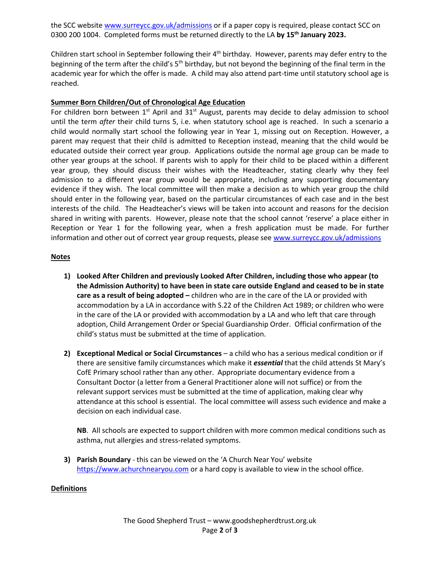the SCC website [www.surreycc.gov.uk/admissions](http://www.surreycc.gov.uk/admissions) or if a paper copy is required, please contact SCC on 0300 200 1004. Completed forms must be returned directly to the LA **by 15th January 2023.** 

Children start school in September following their 4<sup>th</sup> birthday. However, parents may defer entry to the beginning of the term after the child's 5<sup>th</sup> birthday, but not beyond the beginning of the final term in the academic year for which the offer is made. A child may also attend part-time until statutory school age is reached.

### **Summer Born Children/Out of Chronological Age Education**

For children born between  $1<sup>st</sup>$  April and  $31<sup>st</sup>$  August, parents may decide to delay admission to school until the term *after* their child turns 5, i.e. when statutory school age is reached. In such a scenario a child would normally start school the following year in Year 1, missing out on Reception. However, a parent may request that their child is admitted to Reception instead, meaning that the child would be educated outside their correct year group. Applications outside the normal age group can be made to other year groups at the school. If parents wish to apply for their child to be placed within a different year group, they should discuss their wishes with the Headteacher, stating clearly why they feel admission to a different year group would be appropriate, including any supporting documentary evidence if they wish. The local committee will then make a decision as to which year group the child should enter in the following year, based on the particular circumstances of each case and in the best interests of the child. The Headteacher's views will be taken into account and reasons for the decision shared in writing with parents. However, please note that the school cannot 'reserve' a place either in Reception or Year 1 for the following year, when a fresh application must be made. For further information and other out of correct year group requests, please se[e www.surreycc.gov.uk/admissions](http://www.surreycc.gov.uk/admissions)

#### **Notes**

- **1) Looked After Children and previously Looked After Children, including those who appear (to the Admission Authority) to have been in state care outside England and ceased to be in state care as a result of being adopted –** children who are in the care of the LA or provided with accommodation by a LA in accordance with S.22 of the Children Act 1989; or children who were in the care of the LA or provided with accommodation by a LA and who left that care through adoption, Child Arrangement Order or Special Guardianship Order. Official confirmation of the child's status must be submitted at the time of application.
- **2) Exceptional Medical or Social Circumstances** a child who has a serious medical condition or if there are sensitive family circumstances which make it *essential* that the child attends St Mary's CofE Primary school rather than any other. Appropriate documentary evidence from a Consultant Doctor (a letter from a General Practitioner alone will not suffice) or from the relevant support services must be submitted at the time of application, making clear why attendance at this school is essential. The local committee will assess such evidence and make a decision on each individual case.

**NB**. All schools are expected to support children with more common medical conditions such as asthma, nut allergies and stress-related symptoms.

**3) Parish Boundary** - this can be viewed on the 'A Church Near You' website [https://www.achurchnearyou.com](https://www.achurchnearyou.com/) or a hard copy is available to view in the school office.

#### **Definitions**